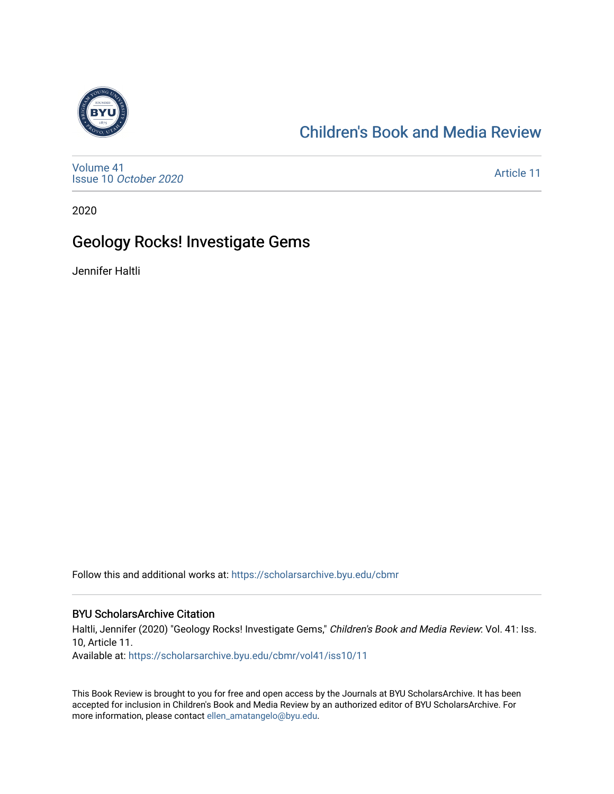

# [Children's Book and Media Review](https://scholarsarchive.byu.edu/cbmr)

[Volume 41](https://scholarsarchive.byu.edu/cbmr/vol41) Issue 10 [October 2020](https://scholarsarchive.byu.edu/cbmr/vol41/iss10)

[Article 11](https://scholarsarchive.byu.edu/cbmr/vol41/iss10/11) 

2020

## Geology Rocks! Investigate Gems

Jennifer Haltli

Follow this and additional works at: [https://scholarsarchive.byu.edu/cbmr](https://scholarsarchive.byu.edu/cbmr?utm_source=scholarsarchive.byu.edu%2Fcbmr%2Fvol41%2Fiss10%2F11&utm_medium=PDF&utm_campaign=PDFCoverPages) 

#### BYU ScholarsArchive Citation

Haltli, Jennifer (2020) "Geology Rocks! Investigate Gems," Children's Book and Media Review: Vol. 41: Iss. 10, Article 11.

Available at: [https://scholarsarchive.byu.edu/cbmr/vol41/iss10/11](https://scholarsarchive.byu.edu/cbmr/vol41/iss10/11?utm_source=scholarsarchive.byu.edu%2Fcbmr%2Fvol41%2Fiss10%2F11&utm_medium=PDF&utm_campaign=PDFCoverPages) 

This Book Review is brought to you for free and open access by the Journals at BYU ScholarsArchive. It has been accepted for inclusion in Children's Book and Media Review by an authorized editor of BYU ScholarsArchive. For more information, please contact [ellen\\_amatangelo@byu.edu.](mailto:ellen_amatangelo@byu.edu)